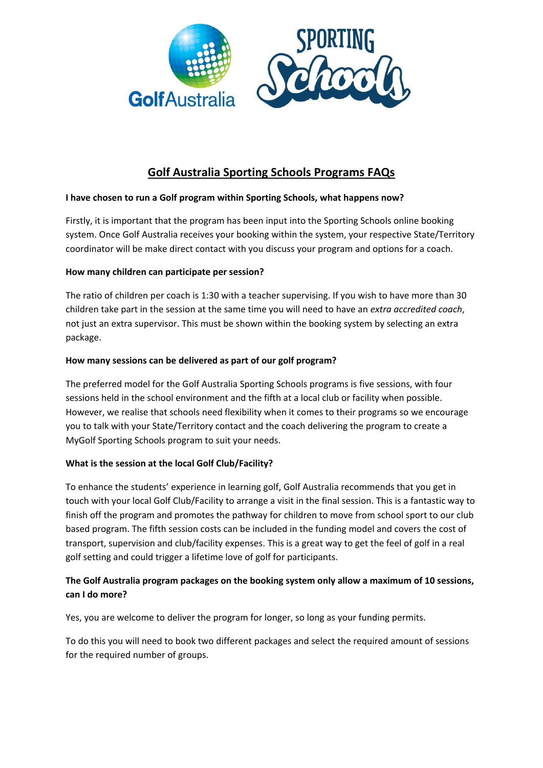

# **Golf Australia Sporting Schools Programs FAQs**

### **I have chosen to run a Golf program within Sporting Schools, what happens now?**

Firstly, it is important that the program has been input into the Sporting Schools online booking system. Once Golf Australia receives your booking within the system, your respective State/Territory coordinator will be make direct contact with you discuss your program and options for a coach.

# **How many children can participate per session?**

The ratio of children per coach is 1:30 with a teacher supervising. If you wish to have more than 30 children take part in the session at the same time you will need to have an *extra accredited coach*, not just an extra supervisor. This must be shown within the booking system by selecting an extra package.

# **How many sessions can be delivered as part of our golf program?**

The preferred model for the Golf Australia Sporting Schools programs is five sessions, with four sessions held in the school environment and the fifth at a local club or facility when possible. However, we realise that schools need flexibility when it comes to their programs so we encourage you to talk with your State/Territory contact and the coach delivering the program to create a MyGolf Sporting Schools program to suit your needs.

### **What is the session at the local Golf Club/Facility?**

To enhance the students' experience in learning golf, Golf Australia recommends that you get in touch with your local Golf Club/Facility to arrange a visit in the final session. This is a fantastic way to finish off the program and promotes the pathway for children to move from school sport to our club based program. The fifth session costs can be included in the funding model and covers the cost of transport, supervision and club/facility expenses. This is a great way to get the feel of golf in a real golf setting and could trigger a lifetime love of golf for participants.

# **The Golf Australia program packages on the booking system only allow a maximum of 10 sessions, can I do more?**

Yes, you are welcome to deliver the program for longer, so long as your funding permits.

To do this you will need to book two different packages and select the required amount of sessions for the required number of groups.